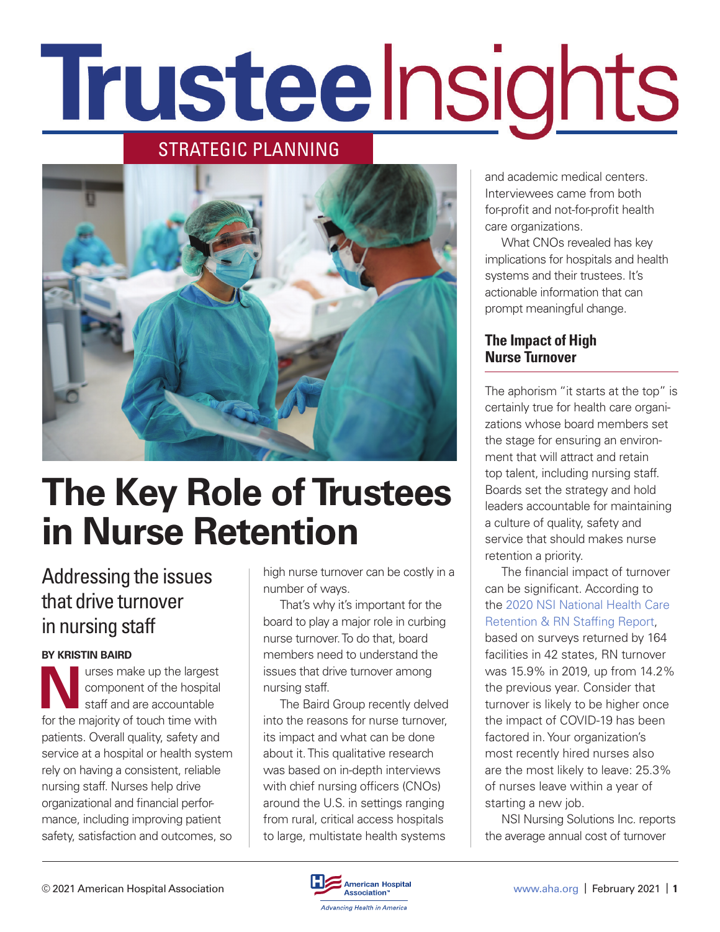# Trusteelnsights

# STRATEGIC PLANNING



# **The Key Role of Trustees in Nurse Retention**

# Addressing the issues that drive turnover in nursing staff

#### **BY KRISTIN BAIRD**

**N**urses make up the largest component of the hospital staff and are accountable for the majority of touch time with patients. Overall quality, safety and service at a hospital or health system rely on having a consistent, reliable nursing staff. Nurses help drive organizational and financial performance, including improving patient safety, satisfaction and outcomes, so

high nurse turnover can be costly in a number of ways.

That's why it's important for the board to play a major role in curbing nurse turnover. To do that, board members need to understand the issues that drive turnover among nursing staff.

The Baird Group recently delved into the reasons for nurse turnover, its impact and what can be done about it. This qualitative research was based on in-depth interviews with chief nursing officers (CNOs) around the U.S. in settings ranging from rural, critical access hospitals to large, multistate health systems

and academic medical centers. Interviewees came from both for-profit and not-for-profit health care organizations.

What CNOs revealed has key implications for hospitals and health systems and their trustees. It's actionable information that can prompt meaningful change.

# **The Impact of High Nurse Turnover**

The aphorism "it starts at the top" is certainly true for health care organizations whose board members set the stage for ensuring an environment that will attract and retain top talent, including nursing staff. Boards set the strategy and hold leaders accountable for maintaining a culture of quality, safety and service that should makes nurse retention a priority.

The financial impact of turnover can be significant. According to the [2020 NSI National Health Care](https://www.nsinursingsolutions.com/Documents/Library/NSI_National_Health_Care_Retention_Report.pdf)  [Retention & RN Staffing Report](https://www.nsinursingsolutions.com/Documents/Library/NSI_National_Health_Care_Retention_Report.pdf), based on surveys returned by 164 facilities in 42 states, RN turnover was 15.9% in 2019, up from 14.2% the previous year. Consider that turnover is likely to be higher once the impact of COVID-19 has been factored in. Your organization's most recently hired nurses also are the most likely to leave: 25.3% of nurses leave within a year of starting a new job.

NSI Nursing Solutions Inc. reports the average annual cost of turnover

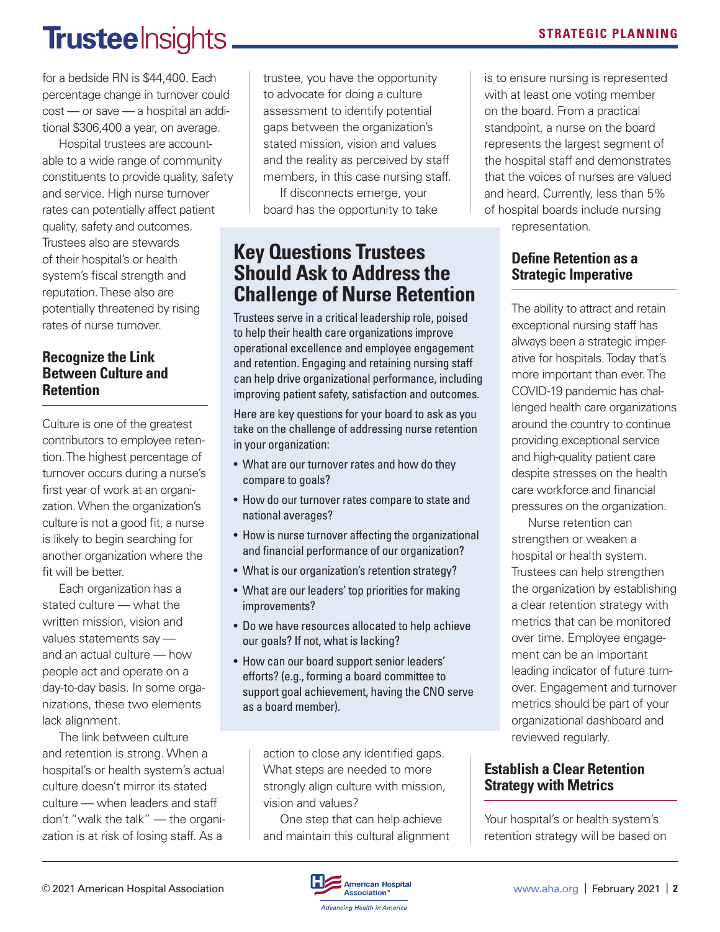# **Trustee** Insights.

for a bedside RN is \$44,400. Each percentage change in turnover could cost — or save — a hospital an additional \$306,400 a year, on average.

Hospital trustees are accountable to a wide range of community constituents to provide quality, safety and service. High nurse turnover rates can potentially affect patient quality, safety and outcomes. Trustees also are stewards of their hospital's or health system's fiscal strength and reputation. These also are potentially threatened by rising rates of nurse turnover.

### **Recognize the Link Between Culture and Retention**

Culture is one of the greatest contributors to employee retention. The highest percentage of turnover occurs during a nurse's first year of work at an organization. When the organization's culture is not a good fit, a nurse is likely to begin searching for another organization where the fit will be better.

Each organization has a stated culture — what the written mission, vision and values statements say and an actual culture — how people act and operate on a day-to-day basis. In some organizations, these two elements lack alignment.

The link between culture and retention is strong. When a hospital's or health system's actual culture doesn't mirror its stated culture — when leaders and staff don't "walk the talk" — the organization is at risk of losing staff. As a

trustee, you have the opportunity to advocate for doing a culture assessment to identify potential gaps between the organization's stated mission, vision and values and the reality as perceived by staff members, in this case nursing staff.

If disconnects emerge, your board has the opportunity to take

# **Key Questions Trustees Should Ask to Address the Challenge of Nurse Retention**

Trustees serve in a critical leadership role, poised to help their health care organizations improve operational excellence and employee engagement and retention. Engaging and retaining nursing staff can help drive organizational performance, including improving patient safety, satisfaction and outcomes.

Here are key questions for your board to ask as you take on the challenge of addressing nurse retention in your organization:

- What are our turnover rates and how do they compare to goals?
- How do our turnover rates compare to state and national averages?
- How is nurse turnover affecting the organizational and financial performance of our organization?
- What is our organization's retention strategy?
- What are our leaders' top priorities for making improvements?
- Do we have resources allocated to help achieve our goals? If not, what is lacking?
- How can our board support senior leaders' efforts? (e.g., forming a board committee to support goal achievement, having the CNO serve as a board member).

action to close any identified gaps. What steps are needed to more strongly align culture with mission, vision and values?

One step that can help achieve and maintain this cultural alignment **STRATEGIC PLANNING**

is to ensure nursing is represented with at least one voting member on the board. From a practical standpoint, a nurse on the board represents the largest segment of the hospital staff and demonstrates that the voices of nurses are valued and heard. Currently, less than 5% of hospital boards include nursing

representation.

## **Define Retention as a Strategic Imperative**

The ability to attract and retain exceptional nursing staff has always been a strategic imperative for hospitals. Today that's more important than ever. The COVID-19 pandemic has challenged health care organizations around the country to continue providing exceptional service and high-quality patient care despite stresses on the health care workforce and financial pressures on the organization.

Nurse retention can strengthen or weaken a hospital or health system. Trustees can help strengthen the organization by establishing a clear retention strategy with metrics that can be monitored over time. Employee engagement can be an important leading indicator of future turnover. Engagement and turnover metrics should be part of your organizational dashboard and reviewed regularly.

# **Establish a Clear Retention Strategy with Metrics**

Your hospital's or health system's retention strategy will be based on